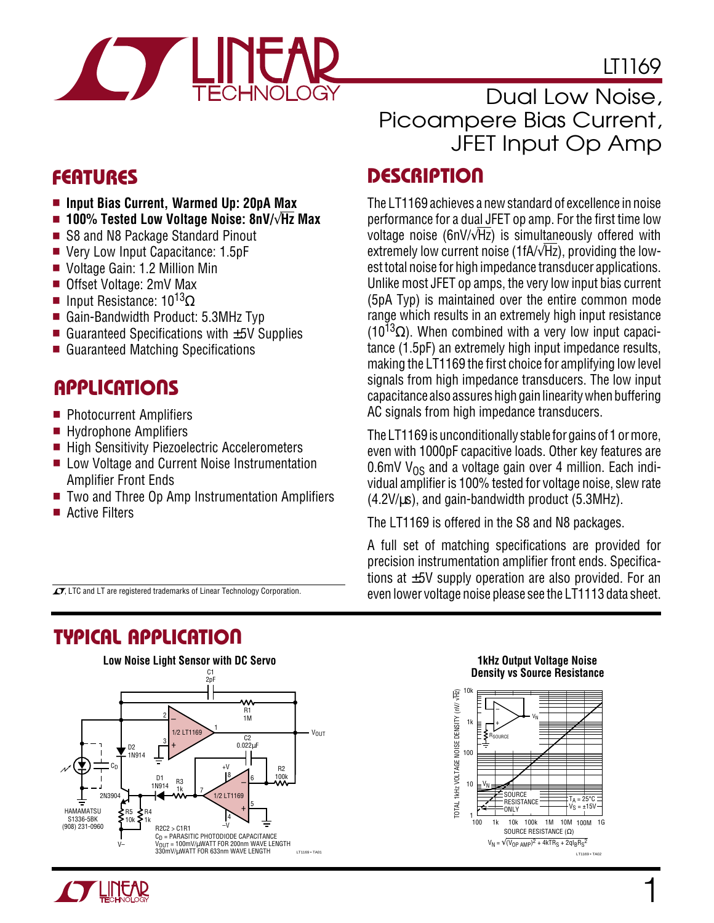

LT1169

- **Input Bias Current, Warmed Up: 20pA Max**
- **100% Tested Low Voltage Noise: 8nV/**√**Hz Max**
- S8 and N8 Package Standard Pinout
- Very Low Input Capacitance: 1.5pF
- Voltage Gain: 1.2 Million Min
- Offset Voltage: 2mV Max
- Input Resistance: 10<sup>13</sup>Ω
- Gain-Bandwidth Product: 5.3MHz Typ
- Guaranteed Specifications with  $±5V$  Supplies
- Guaranteed Matching Specifications

### **U A S O PPLICATI**

- Photocurrent Amplifiers
- Hydrophone Amplifiers
- High Sensitivity Piezoelectric Accelerometers
- Low Voltage and Current Noise Instrumentation Amplifier Front Ends
- Two and Three Op Amp Instrumentation Amplifiers
- Active Filters

Dual Low Noise, Picoampere Bias Current, JFET Input Op Amp

### **DESCRIPTION**

The LT1169 achieves a new standard of excellence in noise performance for a dual JFET op amp. For the first time low voltage noise (6nV/√Hz) is simultaneously offered with extremely low current noise (1fA/√Hz), providing the lowest total noise for high impedance transducer applications. Unlike most JFET op amps, the very low input bias current (5pA Typ) is maintained over the entire common mode range which results in an extremely high input resistance (10<sup>13</sup> $\Omega$ ). When combined with a very low input capacitance (1.5pF) an extremely high input impedance results, making the LT1169 the first choice for amplifying low level signals from high impedance transducers. The low input capacitance also assures high gain linearity when buffering AC signals from high impedance transducers.

The LT1169 is unconditionally stable for gains of 1 or more, even with 1000pF capacitive loads. Other key features are  $0.6$ mV V<sub>OS</sub> and a voltage gain over 4 million. Each individual amplifier is 100% tested for voltage noise, slew rate  $(4.2V/\mu s)$ , and gain-bandwidth product  $(5.3MHz)$ .

The LT1169 is offered in the S8 and N8 packages.

A full set of matching specifications are provided for precision instrumentation amplifier front ends. Specifications at  $\pm 5V$  supply operation are also provided. For an even lower voltage noise please see the LT1113 data sheet.

 $\sqrt{J}$ , LTC and LT are registered trademarks of Linear Technology Corporation.

### **TYPICAL APPLICATION**







1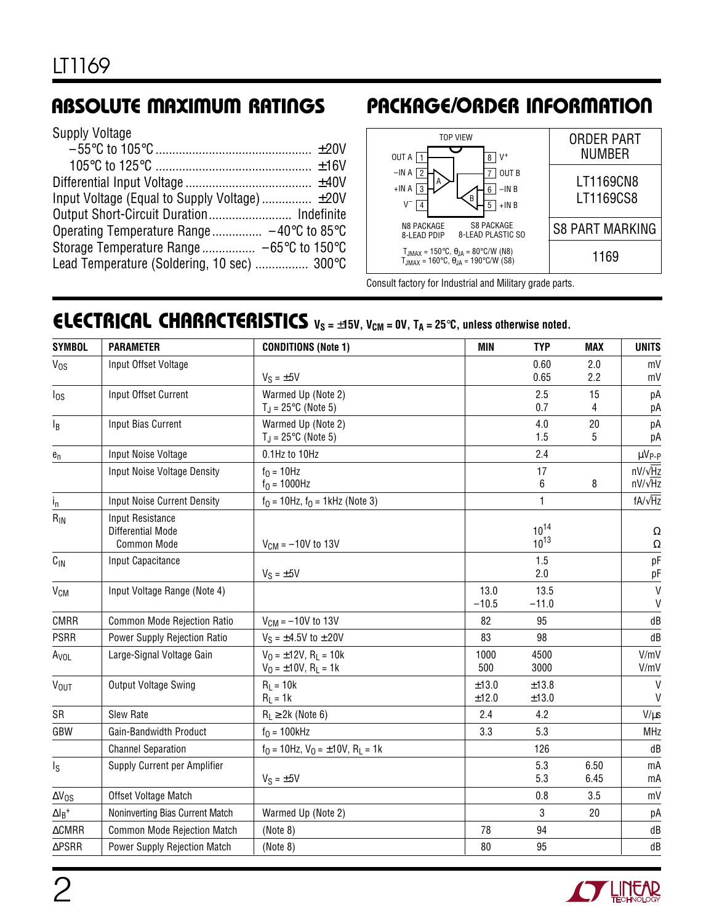# **ABSOLUTE MAXIMUM RATINGS**

| <b>Supply Voltage</b> |  |  |  |  |  |
|-----------------------|--|--|--|--|--|
|-----------------------|--|--|--|--|--|

| Input Voltage (Equal to Supply Voltage) ±20V |  |
|----------------------------------------------|--|
|                                              |  |
|                                              |  |
|                                              |  |
| Lead Temperature (Soldering, 10 sec)  300°C  |  |
|                                              |  |

# **PACKAGE/ORDER INFORMATION**



Consult factory for Industrial and Military grade parts.

## **ELECTRICAL CHARACTERISTICS**  $V_S = \pm 15V$ ,  $V_{CM} = 0V$ ,  $T_A = 25^{\circ}C$ , unless otherwise noted.

| <b>SYMBOL</b>             | <b>PARAMETER</b>                                     | <b>CONDITIONS (Note 1)</b>                                                      | <b>MIN</b>      | <b>TYP</b>             | <b>MAX</b>   | <b>UNITS</b>                     |
|---------------------------|------------------------------------------------------|---------------------------------------------------------------------------------|-----------------|------------------------|--------------|----------------------------------|
| V <sub>os</sub>           | Input Offset Voltage                                 |                                                                                 |                 | 0.60                   | 2.0          | mV                               |
|                           |                                                      | $V_S = \pm 5V$                                                                  |                 | 0.65                   | 2.2          | mV                               |
| $I_{OS}$                  | Input Offset Current                                 | Warmed Up (Note 2)                                                              |                 | 2.5                    | 15           | рA                               |
|                           |                                                      | $T_J = 25^{\circ}C$ (Note 5)                                                    |                 | 0.7                    | 4            | рA                               |
| l <sub>B</sub>            | Input Bias Current                                   | Warmed Up (Note 2)<br>$T_J = 25$ °C (Note 5)                                    |                 | 4.0<br>1.5             | 20<br>5      | рA<br>рA                         |
| $\mathbf{e}_\mathrm{n}$   | Input Noise Voltage                                  | 0.1Hz to 10Hz                                                                   |                 | 2.4                    |              | µV <sub>P-P</sub>                |
|                           | Input Noise Voltage Density                          | $f_0 = 10$ Hz<br>$f_0 = 1000$ Hz                                                |                 | 17<br>6                | 8            | $nV/\sqrt{Hz}$<br>$nV/\sqrt{Hz}$ |
| $i_{n}$                   | <b>Input Noise Current Density</b>                   | $f_0 = 10$ Hz, $f_0 = 1$ kHz (Note 3)                                           |                 | $\mathbf{1}$           |              | $fA/\sqrt{Hz}$                   |
| $R_{\text{IN}}$           | Input Resistance<br>Differential Mode<br>Common Mode | $V_{CM} = -10V$ to 13V                                                          |                 | $10^{14}$<br>$10^{13}$ |              | Ω<br>$\Omega$                    |
| $C_{\text{IN}}$           | Input Capacitance                                    | $V_S = \pm 5V$                                                                  |                 | 1.5<br>2.0             |              | pF<br>рF                         |
| V <sub>CM</sub>           | Input Voltage Range (Note 4)                         |                                                                                 | 13.0<br>$-10.5$ | 13.5<br>$-11.0$        |              | $\mathsf{V}$<br>V                |
| <b>CMRR</b>               | Common Mode Rejection Ratio                          | $V_{CM} = -10V$ to 13V                                                          | 82              | 95                     |              | dB                               |
| <b>PSRR</b>               | Power Supply Rejection Ratio                         | $V_S = \pm 4.5V$ to $\pm 20V$                                                   | 83              | 98                     |              | dB                               |
| A <sub>VOL</sub>          | Large-Signal Voltage Gain                            | $V_0 = \pm 12V$ , R <sub>1</sub> = 10k<br>$V_0 = \pm 10V$ , R <sub>L</sub> = 1k | 1000<br>500     | 4500<br>3000           |              | V/mV<br>V/mV                     |
| VOUT                      | Output Voltage Swing                                 | $R_L = 10k$<br>$R_L = 1k$                                                       | ±13.0<br>±12.0  | ±13.8<br>±13.0         |              | $\mathsf{V}$<br>$\mathsf{V}$     |
| SR                        | Slew Rate                                            | $R_L \geq 2k$ (Note 6)                                                          | 2.4             | 4.2                    |              | $V/\mu s$                        |
| GBW                       | Gain-Bandwidth Product                               | $f0 = 100kHz$                                                                   | 3.3             | 5.3                    |              | MHz                              |
|                           | <b>Channel Separation</b>                            | $f_0 = 10$ Hz, $V_0 = \pm 10V$ , R <sub>L</sub> = 1k                            |                 | 126                    |              | dB                               |
| $I_{\rm S}$               | Supply Current per Amplifier                         | $V_S = \pm 5V$                                                                  |                 | 5.3<br>5.3             | 6.50<br>6.45 | mA<br>mA                         |
| $\Delta V_{OS}$           | Offset Voltage Match                                 |                                                                                 |                 | 0.8                    | 3.5          | mV                               |
| $\Delta I_B^+$            | Noninverting Bias Current Match                      | Warmed Up (Note 2)                                                              |                 | 3                      | 20           | рA                               |
| $\triangle \textsf{CMRR}$ | <b>Common Mode Rejection Match</b>                   | (Note 8)                                                                        | 78              | 94                     |              | dB                               |
| $\triangle$ PSRR          | <b>Power Supply Rejection Match</b>                  | (Note 8)                                                                        | 80              | 95                     |              | dB                               |

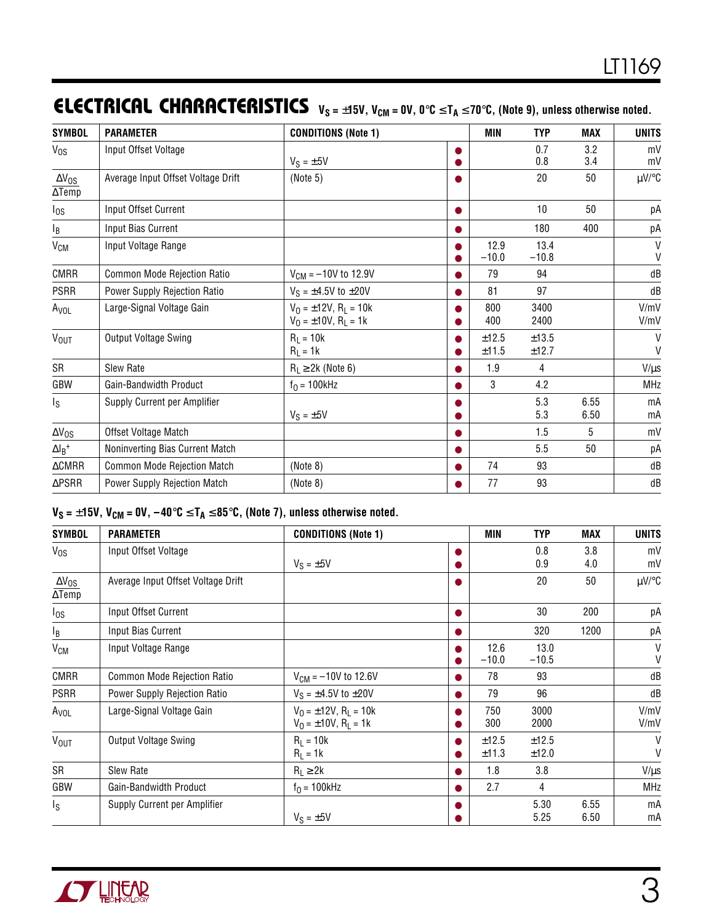# **ELECTRICAL CHARACTERISTICS**  $V_S = ±15V$ ,  $V_{CM} = 0V$ ,  $0$ <sup>°</sup>C ≤ T<sub>A</sub> ≤ 70°C, (Note 9), unless otherwise noted.

| <b>SYMBOL</b>                    | <b>PARAMETER</b>                   | <b>CONDITIONS (Note 1)</b>                                                      |           | <b>MIN</b>      | <b>TYP</b>      | <b>MAX</b>   | <b>UNITS</b>                 |
|----------------------------------|------------------------------------|---------------------------------------------------------------------------------|-----------|-----------------|-----------------|--------------|------------------------------|
| $V_{OS}$                         | Input Offset Voltage               | $V_S = \pm 5V$                                                                  | $\bullet$ |                 | 0.7<br>0.8      | 3.2<br>3.4   | mV<br>mV                     |
| $\Delta V_{OS}$<br>$\Delta$ Temp | Average Input Offset Voltage Drift | (Note 5)                                                                        | $\bullet$ |                 | 20              | 50           | $\mu$ V/°C                   |
| $I_{OS}$                         | Input Offset Current               |                                                                                 | $\bullet$ |                 | 10              | 50           | рA                           |
| $I_B$                            | Input Bias Current                 |                                                                                 | $\bullet$ |                 | 180             | 400          | рA                           |
| V <sub>CM</sub>                  | Input Voltage Range                |                                                                                 |           | 12.9<br>$-10.0$ | 13.4<br>$-10.8$ |              | $\mathsf{V}$<br>$\mathsf{V}$ |
| <b>CMRR</b>                      | <b>Common Mode Rejection Ratio</b> | $V_{CM} = -10V$ to 12.9V                                                        |           | 79              | 94              |              | dB                           |
| <b>PSRR</b>                      | Power Supply Rejection Ratio       | $V_S = \pm 4.5V$ to $\pm 20V$                                                   | $\bullet$ | 81              | 97              |              | dB                           |
| A <sub>VOL</sub>                 | Large-Signal Voltage Gain          | $V_0 = \pm 12V$ , R <sub>1</sub> = 10k<br>$V_0 = \pm 10V$ , R <sub>L</sub> = 1k | ●         | 800<br>400      | 3400<br>2400    |              | V/mV<br>V/mV                 |
| V <sub>OUT</sub>                 | Output Voltage Swing               | $R_1 = 10k$<br>$R_L = 1k$                                                       |           | ±12.5<br>±11.5  | ±13.5<br>±12.7  |              | V<br>$\mathsf{V}$            |
| SR                               | Slew Rate                          | $R_L \geq 2k$ (Note 6)                                                          | ●         | 1.9             | 4               |              | $V/\mu s$                    |
| GBW                              | Gain-Bandwidth Product             | $f_0 = 100$ kHz                                                                 | ●         | 3               | 4.2             |              | <b>MHz</b>                   |
| $\mathsf{I}_\mathsf{S}$          | Supply Current per Amplifier       | $V_S = \pm 5V$                                                                  |           |                 | 5.3<br>5.3      | 6.55<br>6.50 | mA<br>mA                     |
| $\Delta V_{OS}$                  | Offset Voltage Match               |                                                                                 | ●         |                 | 1.5             | 5            | mV                           |
| $\Delta\mathsf{l}_\mathsf{B}^+$  | Noninverting Bias Current Match    |                                                                                 | ●         |                 | 5.5             | 50           | рA                           |
| $\Delta$ CMRR                    | <b>Common Mode Rejection Match</b> | (Note 8)                                                                        |           | 74              | 93              |              | dB                           |
| $\triangle$ PSRR                 | Power Supply Rejection Match       | (Note 8)                                                                        |           | 77              | 93              |              | dB                           |

### $V_S = \pm 15V$ ,  $V_{CM} = 0V$ ,  $-40^{\circ}C \leq T_A \leq 85^{\circ}C$ , (Note 7), unless otherwise noted.

| <b>SYMBOL</b>                        | <b>PARAMETER</b>                   | <b>CONDITIONS (Note 1)</b>                                                      |           | <b>MIN</b>      | <b>TYP</b>      | <b>MAX</b>   | <b>UNITS</b> |
|--------------------------------------|------------------------------------|---------------------------------------------------------------------------------|-----------|-----------------|-----------------|--------------|--------------|
| $V_{OS}$                             | Input Offset Voltage               | $V_S = \pm 5V$                                                                  | ●         |                 | 0.8<br>0.9      | 3.8<br>4.0   | mV<br>mV     |
| $\Delta V_{\rm OS}$<br>$\Delta$ Temp | Average Input Offset Voltage Drift |                                                                                 | o         |                 | 20              | 50           | $\mu$ V/°C   |
| $I_{OS}$                             | Input Offset Current               |                                                                                 | $\bullet$ |                 | 30              | 200          | рA           |
| l <sub>B</sub>                       | Input Bias Current                 |                                                                                 | $\bullet$ |                 | 320             | 1200         | рA           |
| V <sub>CM</sub>                      | Input Voltage Range                |                                                                                 |           | 12.6<br>$-10.0$ | 13.0<br>$-10.5$ |              | V<br>V       |
| <b>CMRR</b>                          | Common Mode Rejection Ratio        | $V_{CM} = -10V$ to 12.6V                                                        | ●         | 78              | 93              |              | dB           |
| <b>PSRR</b>                          | Power Supply Rejection Ratio       | $V_S = \pm 4.5V$ to $\pm 20V$                                                   |           | 79              | 96              |              | dB           |
| A <sub>VOL</sub>                     | Large-Signal Voltage Gain          | $V_0 = \pm 12V$ , R <sub>1</sub> = 10k<br>$V_0 = \pm 10V$ , R <sub>1</sub> = 1k |           | 750<br>300      | 3000<br>2000    |              | V/mV<br>V/mV |
| <b>V<sub>OUT</sub></b>               | Output Voltage Swing               | $R_L = 10k$<br>$R_1 = 1k$                                                       |           | ±12.5<br>±11.3  | ±12.5<br>±12.0  |              | V<br>V       |
| SR                                   | Slew Rate                          | $R_1 \geq 2k$                                                                   |           | 1.8             | 3.8             |              | $V/\mu s$    |
| GBW                                  | Gain-Bandwidth Product             | $f_0 = 100$ kHz                                                                 |           | 2.7             | 4               |              | MHz          |
| ls.                                  | Supply Current per Amplifier       | $V_S = \pm 5V$                                                                  |           |                 | 5.30<br>5.25    | 6.55<br>6.50 | mA<br>mA     |

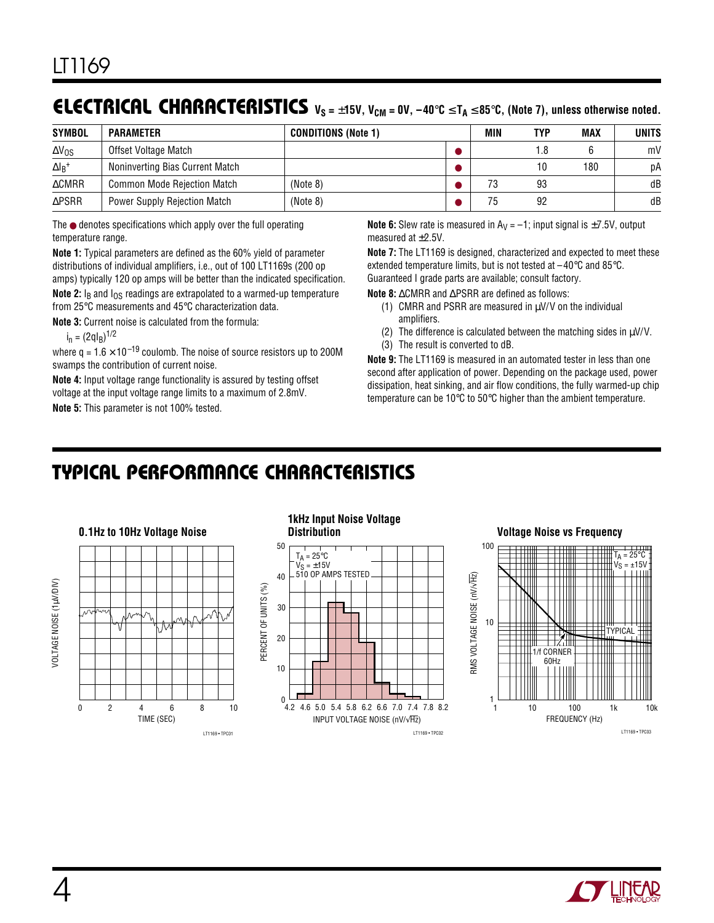### **ELECTRICAL CHARACTERISTICS**  $V_S = ±15V$ ,  $V_{CM} = 0V$ , −40°C ≤ T<sub>A</sub> ≤ 85°C, (Note 7), unless otherwise noted.

| <b>SYMBOL</b>    | <b>PARAMETER</b>                    | <b>CONDITIONS (Note 1)</b> | MIN | TYP  | MAX | <b>UNITS</b> |
|------------------|-------------------------------------|----------------------------|-----|------|-----|--------------|
| $\Delta V_{OS}$  | Offset Voltage Match                |                            |     | 8. ا |     | mV           |
| $\Delta I_B^+$   | Noninverting Bias Current Match     |                            |     | 10   | 180 | рA           |
| $\triangle$ CMRR | <b>Common Mode Rejection Match</b>  | (Note 8)                   | 73  | 93   |     | dB           |
| $\triangle$ PSRR | <b>Power Supply Rejection Match</b> | (Note 8)                   | 75  | 92   |     | dB           |

The ● denotes specifications which apply over the full operating temperature range.

**Note 1:** Typical parameters are defined as the 60% yield of parameter distributions of individual amplifiers, i.e., out of 100 LT1169s (200 op amps) typically 120 op amps will be better than the indicated specification.

**Note 2:** I<sub>B</sub> and I<sub>OS</sub> readings are extrapolated to a warmed-up temperature from 25°C measurements and 45°C characterization data.

**Note 3:** Current noise is calculated from the formula:

 $i_n = (2qI_B)^{1/2}$ 

where  $q = 1.6 \times 10^{-19}$  coulomb. The noise of source resistors up to 200M swamps the contribution of current noise.

**Note 4:** Input voltage range functionality is assured by testing offset voltage at the input voltage range limits to a maximum of 2.8mV. **Note 5:** This parameter is not 100% tested.

```
Note 6: Slew rate is measured in A_V = -1; input signal is \pm 7.5V, output
measured at \pm 2.5V.
```
**Note 7:** The LT1169 is designed, characterized and expected to meet these extended temperature limits, but is not tested at –40°C and 85°C. Guaranteed I grade parts are available; consult factory.

**Note 8:** ∆CMRR and ∆PSRR are defined as follows:

- (1) CMRR and PSRR are measured in  $\mu$ V/V on the individual amplifiers.
- (2) The difference is calculated between the matching sides in  $\mu$ V/V.
- (3) The result is converted to dB.

**Note 9:** The LT1169 is measured in an automated tester in less than one second after application of power. Depending on the package used, power dissipation, heat sinking, and air flow conditions, the fully warmed-up chip temperature can be 10°C to 50°C higher than the ambient temperature.

### **C C HARA TERISTICS <sup>U</sup> <sup>W</sup> TYPICAL PERFOR A CE**



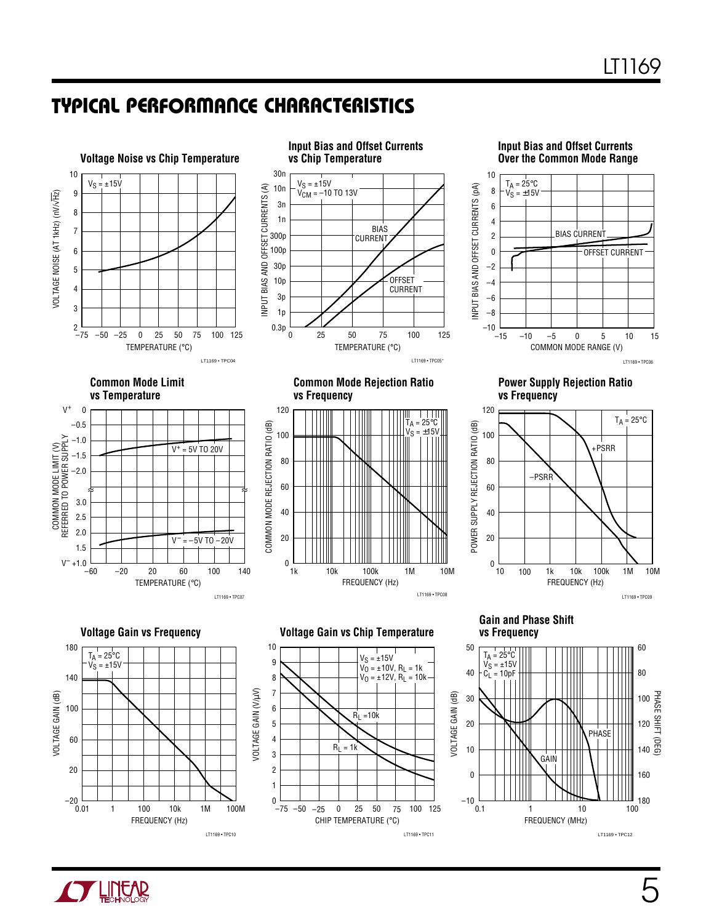### **C C HARA TERISTICS U W TYPICAL PERFOR A CE**



CHIP TEMPERATURE (°C)

LT1169 • TPC11

 $-25$  0 25 50 75

–50 25 0 100 125

0.1 –10

FREQUENCY (MHz)

1 10 100

LT1169 • TPC12



0.01

–20

FREQUENCY (Hz)

1 100 10k 100M

1M

LT1169 • TPC10

–75

0

180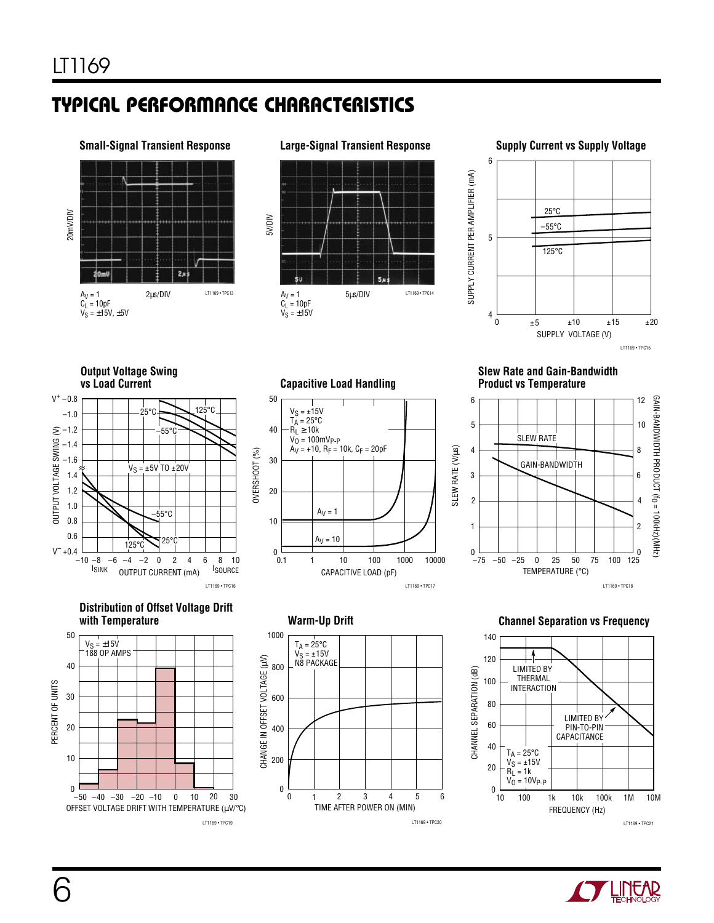# **C C HARA TERISTICS U W TYPICAL PERFOR A CE**



#### **Large-Signal Transient Response**



5µs/DIV LT1169 • TPC14

#### **Supply Current vs Supply Voltage**



#### **Output Voltage Swing vs Load Current**







#### **Capacitive Load Handling**

 $A_V = 1$  $C_L = 10pF$  $V_S = \pm 15V$ 

5V/DIV



TIME AFTER POWER ON (MIN)

LT1169 • TPC20

5 6

1 234

**Warm-Up Drift**

 $T_A = 25^{\circ}C$ V<sub>S</sub> = ±15V<br>N8 PACKAGE

0  $\theta$ 

200

400

600

800

1000

CHANGE IN OFFSET VOLTAGE (µV)

#### **Slew Rate and Gain-Bandwidth Product vs Temperature**



#### **Channel Separation vs Frequency**



6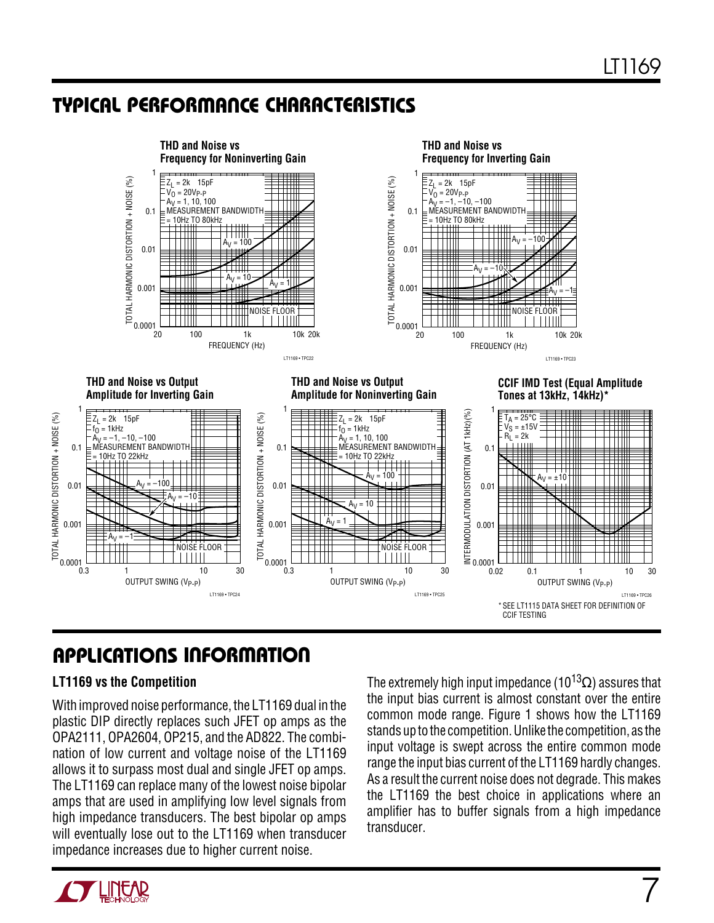### **C C HARA TERISTICS U W TYPICAL PERFOR A CE**



# **U A S O PPLICATI <sup>W</sup> <sup>U</sup> <sup>U</sup> I FOR ATIO**

#### **LT1169 vs the Competition**

With improved noise performance, the LT1169 dual in the plastic DIP directly replaces such JFET op amps as the OPA2111, OPA2604, OP215, and the AD822. The combination of low current and voltage noise of the LT1169 allows it to surpass most dual and single JFET op amps. The LT1169 can replace many of the lowest noise bipolar amps that are used in amplifying low level signals from high impedance transducers. The best bipolar op amps will eventually lose out to the LT1169 when transducer impedance increases due to higher current noise.

The extremely high input impedance (10<sup>13</sup> $\Omega$ ) assures that the input bias current is almost constant over the entire common mode range. Figure 1 shows how the LT1169 stands up to the competition. Unlike the competition, as the input voltage is swept across the entire common mode range the input bias current of the LT1169 hardly changes. As a result the current noise does not degrade. This makes the LT1169 the best choice in applications where an amplifier has to buffer signals from a high impedance transducer.

7

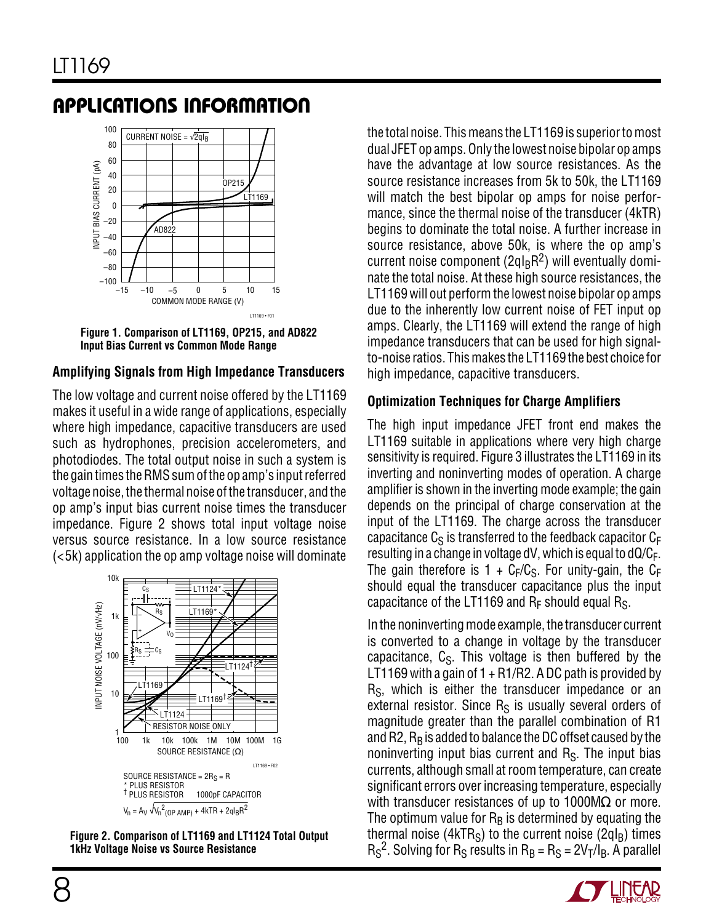### **U A S O PPLICATI <sup>W</sup> <sup>U</sup> <sup>U</sup> I FOR ATIO**



**Figure 1. Comparison of LT1169, OP215, and AD822 Input Bias Current vs Common Mode Range**

### **Amplifying Signals from High Impedance Transducers**

The low voltage and current noise offered by the LT1169 makes it useful in a wide range of applications, especially where high impedance, capacitive transducers are used such as hydrophones, precision accelerometers, and photodiodes. The total output noise in such a system is the gain times the RMS sum of the op amp's input referred voltage noise, the thermal noise of the transducer, and the op amp's input bias current noise times the transducer impedance. Figure 2 shows total input voltage noise versus source resistance. In a low source resistance (<5k) application the op amp voltage noise will dominate



**Figure 2. Comparison of LT1169 and LT1124 Total Output 1kHz Voltage Noise vs Source Resistance**

the total noise. This means the LT1169 is superior to most dual JFET op amps. Only the lowest noise bipolar op amps have the advantage at low source resistances. As the source resistance increases from 5k to 50k, the LT1169 will match the best bipolar op amps for noise performance, since the thermal noise of the transducer (4kTR) begins to dominate the total noise. A further increase in source resistance, above 50k, is where the op amp's current noise component ( $2qI<sub>B</sub>R<sup>2</sup>$ ) will eventually dominate the total noise. At these high source resistances, the LT1169 will out perform the lowest noise bipolar op amps due to the inherently low current noise of FET input op amps. Clearly, the LT1169 will extend the range of high impedance transducers that can be used for high signalto-noise ratios. This makes the LT1169 the best choice for high impedance, capacitive transducers.

### **Optimization Techniques for Charge Amplifiers**

The high input impedance JFET front end makes the LT1169 suitable in applications where very high charge sensitivity is required. Figure 3 illustrates the LT1169 in its inverting and noninverting modes of operation. A charge amplifier is shown in the inverting mode example; the gain depends on the principal of charge conservation at the input of the LT1169. The charge across the transducer capacitance  $C_S$  is transferred to the feedback capacitor  $C_F$ resulting in a change in voltage  $dV$ , which is equal to  $dQ/C_F$ . The gain therefore is  $1 + C_F/C_S$ . For unity-gain, the C<sub>F</sub> should equal the transducer capacitance plus the input capacitance of the LT1169 and  $R_F$  should equal  $R_S$ .

In the noninverting mode example, the transducer current is converted to a change in voltage by the transducer capacitance,  $C_{\rm S}$ . This voltage is then buffered by the LT1169 with a gain of  $1 + R1/R2$ . A DC path is provided by  $R<sub>S</sub>$ , which is either the transducer impedance or an external resistor. Since  $R<sub>S</sub>$  is usually several orders of magnitude greater than the parallel combination of R1 and R2,  $R_B$  is added to balance the DC offset caused by the noninverting input bias current and  $R<sub>S</sub>$ . The input bias currents, although small at room temperature, can create significant errors over increasing temperature, especially with transducer resistances of up to 1000M $\Omega$  or more. The optimum value for  $R_B$  is determined by equating the thermal noise (4kTR<sub>S</sub>) to the current noise (2qI<sub>B</sub>) times  $R_S^2$ . Solving for  $R_S$  results in  $R_B = R_S = 2V_T/I_B$ . A parallel

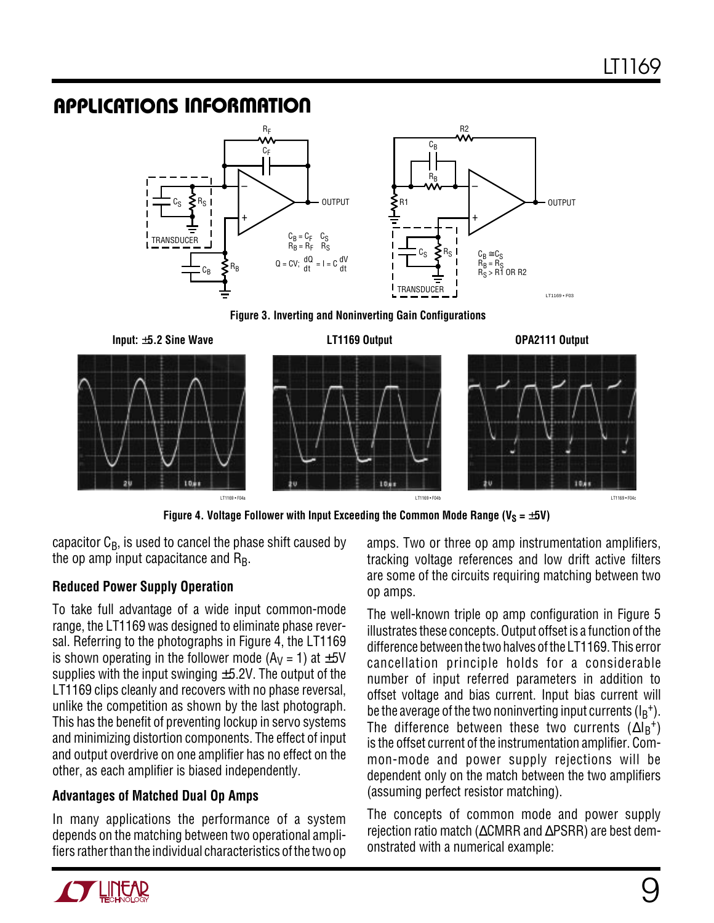### **U A S O PPLICATI <sup>W</sup> <sup>U</sup> <sup>U</sup> I FOR ATIO**



**Figure 3. Inverting and Noninverting Gain Configurations**





Figure 4. Voltage Follower with Input Exceeding the Common Mode Range ( $V_S = \pm 5V$ )

capacitor  $C_{\rm B}$ , is used to cancel the phase shift caused by the op amp input capacitance and  $R_B$ .

### **Reduced Power Supply Operation**

To take full advantage of a wide input common-mode range, the LT1169 was designed to eliminate phase reversal. Referring to the photographs in Figure 4, the LT1169 is shown operating in the follower mode ( $Ay = 1$ ) at  $\pm 5V$ supplies with the input swinging  $\pm$ 5.2V. The output of the LT1169 clips cleanly and recovers with no phase reversal, unlike the competition as shown by the last photograph. This has the benefit of preventing lockup in servo systems and minimizing distortion components. The effect of input and output overdrive on one amplifier has no effect on the other, as each amplifier is biased independently.

### **Advantages of Matched Dual Op Amps**

In many applications the performance of a system depends on the matching between two operational amplifiers rather than the individual characteristics of the two op amps. Two or three op amp instrumentation amplifiers, tracking voltage references and low drift active filters are some of the circuits requiring matching between two op amps.

The well-known triple op amp configuration in Figure 5 illustrates these concepts. Output offset is a function of the difference between the two halves of the LT1169. This error cancellation principle holds for a considerable number of input referred parameters in addition to offset voltage and bias current. Input bias current will be the average of the two noninverting input currents  $(I_B^+).$ The difference between these two currents  $(\Delta I_B^+)$ is the offset current of the instrumentation amplifier. Common-mode and power supply rejections will be dependent only on the match between the two amplifiers (assuming perfect resistor matching).

The concepts of common mode and power supply rejection ratio match (∆CMRR and ∆PSRR) are best demonstrated with a numerical example:

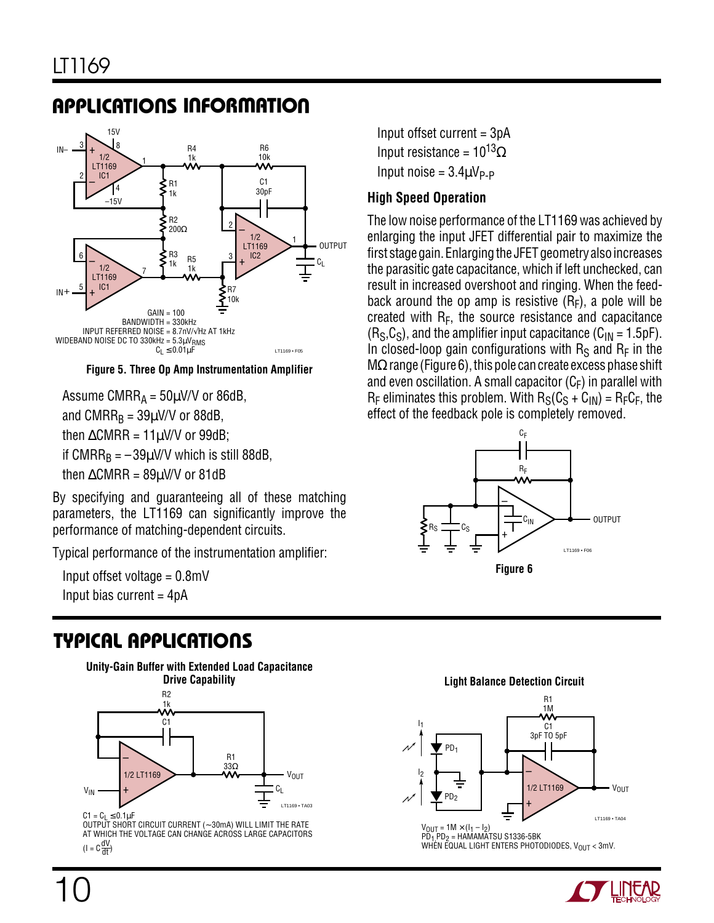## **U A S O PPLICATI <sup>W</sup> <sup>U</sup> <sup>U</sup> I FOR ATIO**



**Figure 5. Three Op Amp Instrumentation Amplifier**

Assume CMRR $_A$  = 50 $\mu$ V/V or 86dB, and CMRR $_B = 39\mu$ V/V or 88dB, then  $\triangle CMRR = 11 \mu V/V$  or 99dB; if CMRR<sub>B</sub> =  $-39\mu$ V/V which is still 88dB, then  $\triangle$ CMRR = 89 $\mu$ V/V or 81dB

By specifying and guaranteeing all of these matching parameters, the LT1169 can significantly improve the performance of matching-dependent circuits.

Typical performance of the instrumentation amplifier:

 Input offset voltage = 0.8mV Input bias current  $=$  4pA

# **TYPICAL APPLICATIONS NU**



OUTPUT SHORT CIRCUIT CURRENT (∼ 30mA) WILL LIMIT THE RATE AT WHICH THE VOLTAGE CAN CHANGE ACROSS LARGE CAPACITORS  $(I = C \frac{dV}{dt})$ 

 Input offset current = 3pA Input resistance =  $10^{13}$  $\Omega$ Input noise =  $3.4 \mu V_{P-P}$ 

### **High Speed Operation**

The low noise performance of the LT1169 was achieved by enlarging the input JFET differential pair to maximize the first stage gain. Enlarging the JFET geometry also increases the parasitic gate capacitance, which if left unchecked, can result in increased overshoot and ringing. When the feedback around the op amp is resistive  $(R_F)$ , a pole will be created with  $R_F$ , the source resistance and capacitance  $(R<sub>S</sub>,C<sub>S</sub>)$ , and the amplifier input capacitance  $(C<sub>IN</sub> = 1.5pF)$ . In closed-loop gain configurations with  $R_S$  and  $R_F$  in the  $M\Omega$  range (Figure 6), this pole can create excess phase shift and even oscillation. A small capacitor  $(C_F)$  in parallel with  $R_F$  eliminates this problem. With  $R_S(C_S + C_{IN}) = R_F C_F$ , the effect of the feedback pole is completely removed.





 $V_{OUT} = 1M \times (I_1 - I_2)$  $\overline{PD_1}$ , PD<sub>2</sub> = HAMAMATSU S1336-5BK WHEN EQUAL LIGHT ENTERS PHOTODIODES,  $V_{\text{OUT}} < 3$ mV.

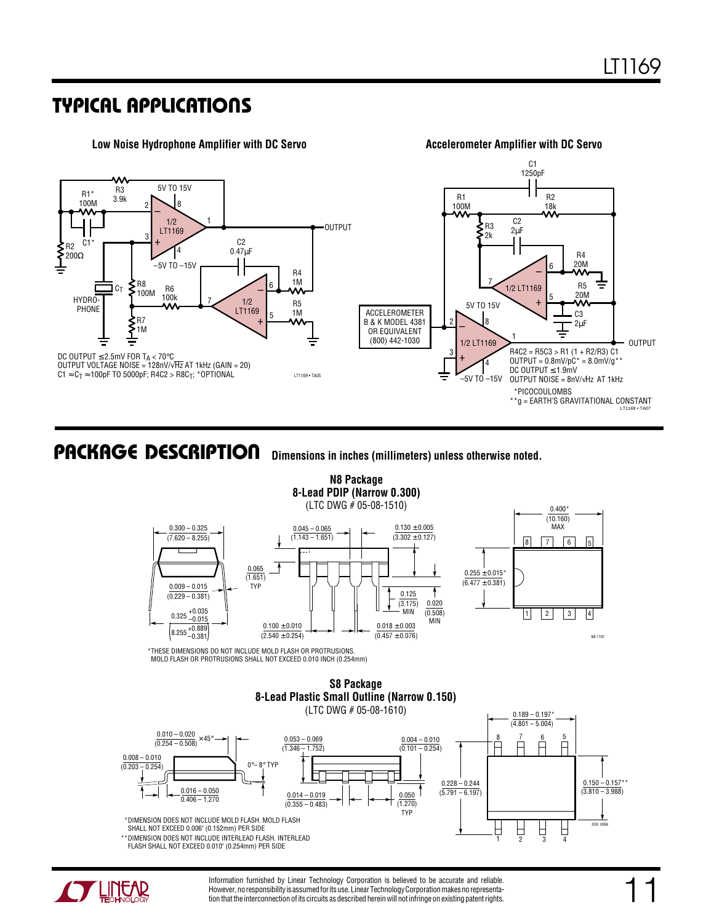### **TYPICAL APPLICATIONS NU**



**Dimensions in inches (millimeters) unless otherwise noted. <sup>U</sup> PACKAGE DESCRIPTIO**



**N8 Package**

\*THESE DIMENSIONS DO NOT INCLUDE MOLD FLASH OR PROTRUSIONS. MOLD FLASH OR PROTRUSIONS SHALL NOT EXCEED 0.010 INCH (0.254mm)







Information furnished by Linear Technology Corporation is believed to be accurate and reliable. However, no responsibility is assumed for its use. Linear Technology Corporation makes no representation that the interconnection of its circuits as described herein will not infringe on existing patent rights.